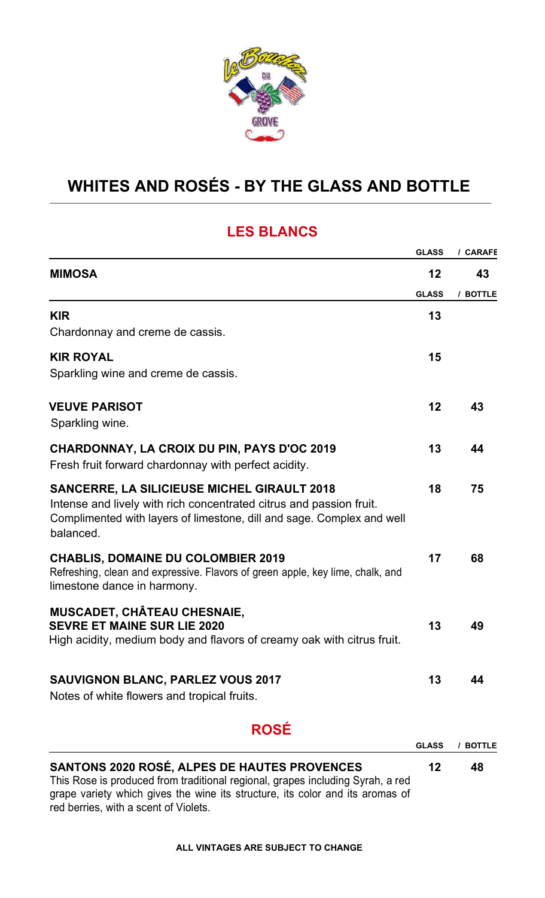

# **WHITES AND ROSÉS - BY THE GLASS AND BOTTLE**

#### **LES BLANCS**

|                                                                                                                                               | <b>GLASS</b> | / CARAFE |
|-----------------------------------------------------------------------------------------------------------------------------------------------|--------------|----------|
| <b>MIMOSA</b>                                                                                                                                 | 12           | 43       |
|                                                                                                                                               | <b>GLASS</b> | / BOTTLE |
| <b>KIR</b>                                                                                                                                    | 13           |          |
| Chardonnay and creme de cassis.                                                                                                               |              |          |
| <b>KIR ROYAL</b>                                                                                                                              | 15           |          |
| Sparkling wine and creme de cassis.                                                                                                           |              |          |
| <b>VEUVE PARISOT</b>                                                                                                                          | 12           | 43       |
| Sparkling wine.                                                                                                                               |              |          |
| <b>CHARDONNAY, LA CROIX DU PIN, PAYS D'OC 2019</b>                                                                                            | 13           | 44       |
| Fresh fruit forward chardonnay with perfect acidity.                                                                                          |              |          |
| <b>SANCERRE, LA SILICIEUSE MICHEL GIRAULT 2018</b>                                                                                            | 18           | 75       |
| Intense and lively with rich concentrated citrus and passion fruit.<br>Complimented with layers of limestone, dill and sage. Complex and well |              |          |
| balanced.                                                                                                                                     |              |          |
| <b>CHABLIS, DOMAINE DU COLOMBIER 2019</b>                                                                                                     | 17           | 68       |
| Refreshing, clean and expressive. Flavors of green apple, key lime, chalk, and                                                                |              |          |
| limestone dance in harmony.                                                                                                                   |              |          |
| <b>MUSCADET, CHÂTEAU CHESNAIE,</b><br><b>SEVRE ET MAINE SUR LIE 2020</b>                                                                      | 13           | 49       |
| High acidity, medium body and flavors of creamy oak with citrus fruit.                                                                        |              |          |
|                                                                                                                                               |              |          |
| <b>SAUVIGNON BLANC, PARLEZ VOUS 2017</b>                                                                                                      | 13           | ΔΔ       |
| Notes of white flowers and tropical fruits.                                                                                                   |              |          |
| <b>ROSÉ</b>                                                                                                                                   |              |          |
|                                                                                                                                               | <b>GLASS</b> | / BOTTLE |
| <b>SANTONS 2020 ROSÉ, ALPES DE HAUTES PROVENCES</b>                                                                                           | 12           | 48       |

This Rose is produced from traditional regional, grapes including Syrah, a red grape variety which gives the wine its structure, its color and its aromas of red berries, with a scent of Violets.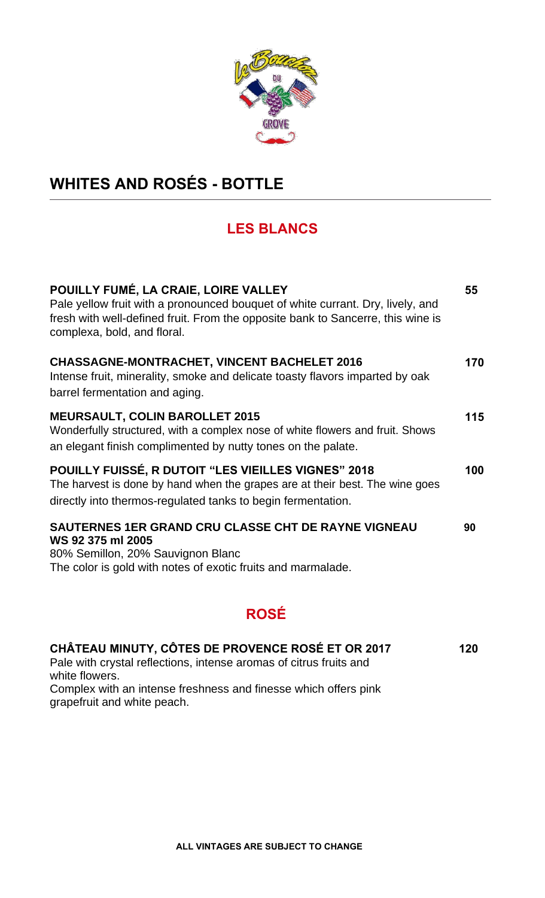

# **WHITES AND ROSÉS - BOTTLE**

## **LES BLANCS**

| POUILLY FUMÉ, LA CRAIE, LOIRE VALLEY<br>Pale yellow fruit with a pronounced bouquet of white currant. Dry, lively, and<br>fresh with well-defined fruit. From the opposite bank to Sancerre, this wine is<br>complexa, bold, and floral. | 55  |
|------------------------------------------------------------------------------------------------------------------------------------------------------------------------------------------------------------------------------------------|-----|
| <b>CHASSAGNE-MONTRACHET, VINCENT BACHELET 2016</b><br>Intense fruit, minerality, smoke and delicate toasty flavors imparted by oak<br>barrel fermentation and aging.                                                                     | 170 |
| <b>MEURSAULT, COLIN BAROLLET 2015</b><br>Wonderfully structured, with a complex nose of white flowers and fruit. Shows<br>an elegant finish complimented by nutty tones on the palate.                                                   | 115 |
| <b>POUILLY FUISSÉ, R DUTOIT "LES VIEILLES VIGNES" 2018</b><br>The harvest is done by hand when the grapes are at their best. The wine goes<br>directly into thermos-regulated tanks to begin fermentation.                               | 100 |
| SAUTERNES 1ER GRAND CRU CLASSE CHT DE RAYNE VIGNEAU<br>WS 92 375 ml 2005<br>80% Semillon, 20% Sauvignon Blanc<br>The color is gold with notes of exotic fruits and marmalade.                                                            | 90  |

## **ROSÉ**

| CHÂTEAU MINUTY, CÔTES DE PROVENCE ROSÉ ET OR 2017                  | 120 |
|--------------------------------------------------------------------|-----|
| Pale with crystal reflections, intense aromas of citrus fruits and |     |
| white flowers.                                                     |     |
| Complex with an intense freshness and finesse which offers pink    |     |
| grapefruit and white peach.                                        |     |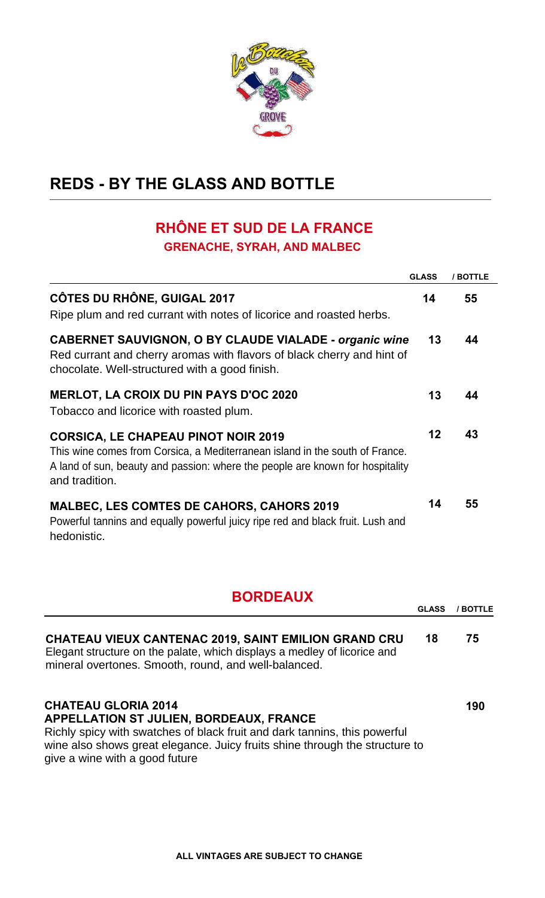

# **REDS - BY THE GLASS AND BOTTLE**

## **RHÔNE ET SUD DE LA FRANCE GRENACHE, SYRAH, AND MALBEC**

|                                                                                                                                                                                                                               | <b>GLASS</b> | / BOTTLE |
|-------------------------------------------------------------------------------------------------------------------------------------------------------------------------------------------------------------------------------|--------------|----------|
| <b>CÔTES DU RHÔNE, GUIGAL 2017</b><br>Ripe plum and red currant with notes of licorice and roasted herbs.                                                                                                                     | 14           | 55       |
| <b>CABERNET SAUVIGNON, O BY CLAUDE VIALADE - organic wine</b><br>Red currant and cherry aromas with flavors of black cherry and hint of<br>chocolate. Well-structured with a good finish.                                     | 13           | 44       |
| <b>MERLOT, LA CROIX DU PIN PAYS D'OC 2020</b><br>Tobacco and licorice with roasted plum.                                                                                                                                      | 13           | 44       |
| <b>CORSICA, LE CHAPEAU PINOT NOIR 2019</b><br>This wine comes from Corsica, a Mediterranean island in the south of France.<br>A land of sun, beauty and passion: where the people are known for hospitality<br>and tradition. |              | 43       |
| <b>MALBEC, LES COMTES DE CAHORS, CAHORS 2019</b><br>Powerful tannins and equally powerful juicy ripe red and black fruit. Lush and<br>hedonistic.                                                                             | 14           | 55       |

## **BORDEAUX**

|                                                                                                                                                                                                                                                                            | <b>GLASS</b> | <b>BOTTLE</b> |
|----------------------------------------------------------------------------------------------------------------------------------------------------------------------------------------------------------------------------------------------------------------------------|--------------|---------------|
| <b>CHATEAU VIEUX CANTENAC 2019, SAINT EMILION GRAND CRU</b><br>Elegant structure on the palate, which displays a medley of licorice and<br>mineral overtones. Smooth, round, and well-balanced.                                                                            | 18           | 75            |
| <b>CHATEAU GLORIA 2014</b><br><b>APPELLATION ST JULIEN, BORDEAUX, FRANCE</b><br>Richly spicy with swatches of black fruit and dark tannins, this powerful<br>wine also shows great elegance. Juicy fruits shine through the structure to<br>give a wine with a good future |              | 190           |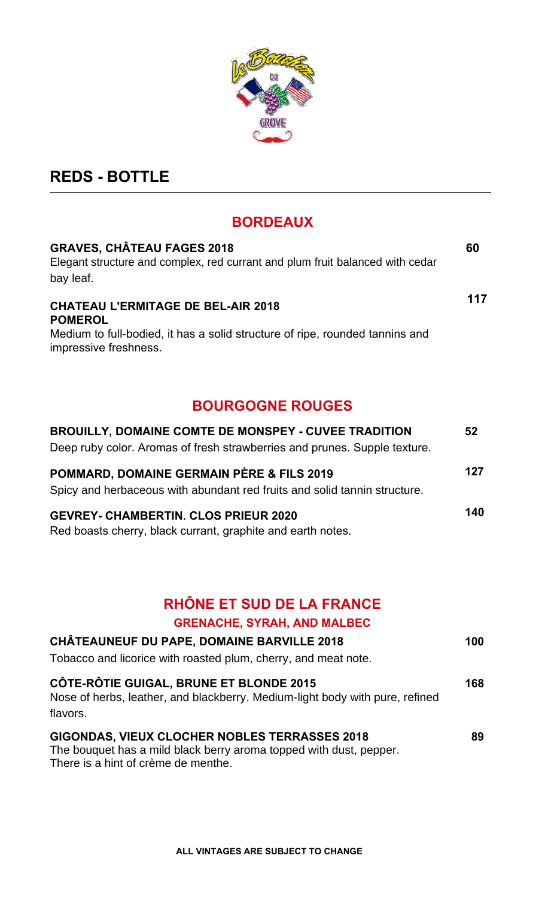

# **REDS - BOTTLE**

### **BORDEAUX**

| <b>GRAVES, CHÂTEAU FAGES 2018</b><br>Elegant structure and complex, red currant and plum fruit balanced with cedar<br>bay leaf.                                      | 60  |
|----------------------------------------------------------------------------------------------------------------------------------------------------------------------|-----|
| <b>CHATEAU L'ERMITAGE DE BEL-AIR 2018</b><br><b>POMEROL</b><br>Medium to full-bodied, it has a solid structure of ripe, rounded tannins and<br>impressive freshness. | 117 |
| <b>BOURGOGNE ROUGES</b>                                                                                                                                              |     |
| <b>BROUILLY, DOMAINE COMTE DE MONSPEY - CUVEE TRADITION</b><br>Deep ruby color. Aromas of fresh strawberries and prunes. Supple texture.                             | 52  |
| POMMARD, DOMAINE GERMAIN PÈRE & FILS 2019<br>Spicy and herbaceous with abundant red fruits and solid tannin structure.                                               | 127 |
| <b>GEVREY- CHAMBERTIN. CLOS PRIEUR 2020</b>                                                                                                                          | 140 |

Red boasts cherry, black currant, graphite and earth notes.

# **RHÔNE ET SUD DE LA FRANCE**

### **GRENACHE, SYRAH, AND MALBEC**

| <b>CHÂTEAUNEUF DU PAPE, DOMAINE BARVILLE 2018</b><br>Tobacco and licorice with roasted plum, cherry, and meat note.                                        | 100 |
|------------------------------------------------------------------------------------------------------------------------------------------------------------|-----|
| CÔTE-RÔTIE GUIGAL, BRUNE ET BLONDE 2015<br>Nose of herbs, leather, and blackberry. Medium-light body with pure, refined<br>flavors.                        | 168 |
| GIGONDAS, VIEUX CLOCHER NOBLES TERRASSES 2018<br>The bouquet has a mild black berry aroma topped with dust, pepper.<br>There is a hint of crème de menthe. | 89  |